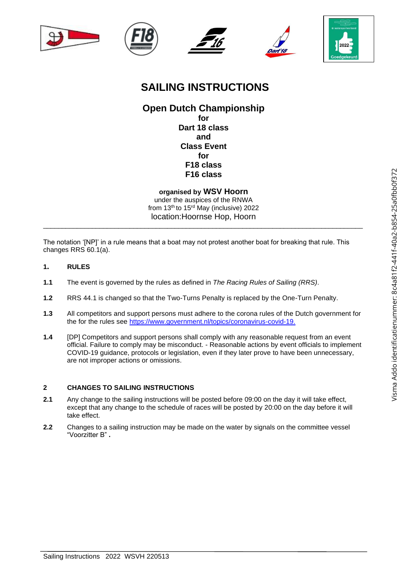









# **SAILING INSTRUCTIONS**

# **Open Dutch Championship for Dart 18 class and Class Event for F18 class F16 class**

**organised by WSV Hoorn** under the auspices of the RNWA from 13<sup>th</sup> to 15<sup>rd</sup> May (inclusive) 2022 location:Hoornse Hop, Hoorn

\_\_\_\_\_\_\_\_\_\_\_\_\_\_\_\_\_\_\_\_\_\_\_\_\_\_\_\_\_\_\_\_\_\_\_\_\_\_\_\_\_\_\_\_\_\_\_\_\_\_\_\_\_\_\_\_\_\_\_\_\_\_\_\_\_\_\_\_\_\_\_\_\_\_\_\_\_\_\_\_\_\_\_\_\_

The notation '[NP]' in a rule means that a boat may not protest another boat for breaking that rule. This changes RRS 60.1(a).

- **1. RULES**
- **1.1** The event is governed by the rules as defined in *The Racing Rules of Sailing (RRS)*.
- **1.2** RRS 44.1 is changed so that the Two-Turns Penalty is replaced by the One-Turn Penalty.
- **1.3** All competitors and support persons must adhere to the corona rules of the Dutch government for the for the rules see [https://www.government.nl/topics/coronavirus-covid-19.](https://www.government.nl/topics/coronavirus-covid-19)
- **1.4** [DP] Competitors and support persons shall comply with any reasonable request from an event official. Failure to comply may be misconduct. - Reasonable actions by event officials to implement COVID-19 guidance, protocols or legislation, even if they later prove to have been unnecessary, are not improper actions or omissions.

# **2 CHANGES TO SAILING INSTRUCTIONS**

- **2.1** Any change to the sailing instructions will be posted before 09:00 on the day it will take effect, except that any change to the schedule of races will be posted by 20:00 on the day before it will take effect.
- **2.2** Changes to a sailing instruction may be made on the water by signals on the committee vessel "Voorzitter B" **.**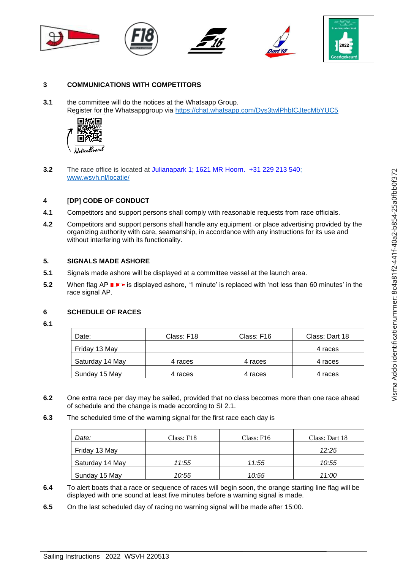

## **3 COMMUNICATIONS WITH COMPETITORS**

**3.1** the committee will do the notices at the Whatsapp Group. Register for the Whatsappgroup via<https://chat.whatsapp.com/Dys3twlPhbICJtecMbYUC5>



**3.2** The race office is located at Julianapark 1; 1621 MR Hoorn. +31 229 213 54[0;](http://www.wsvh.nl/locatie/)  [www.wsvh.nl/locatie/](http://www.wsvh.nl/locatie/)

#### **4 [DP] CODE OF CONDUCT**

- **4.1** Competitors and support persons shall comply with reasonable requests from race officials.
- **4.2** Competitors and support persons shall handle any equipment -or place advertising provided by the organizing authority with care, seamanship, in accordance with any instructions for its use and without interfering with its functionality.

#### **5. SIGNALS MADE ASHORE**

- **5.1** Signals made ashore will be displayed at a committee vessel at the launch area.
- **5.2** When flag AP **IFF** is displayed ashore, '1 minute' is replaced with 'not less than 60 minutes' in the race signal AP.

## **6 SCHEDULE OF RACES**

**6.1**

| Date:           | Class: F18 | Class: F16 | Class: Dart 18 |
|-----------------|------------|------------|----------------|
| Friday 13 May   |            |            | 4 races        |
| Saturday 14 May | 4 races    | 4 races    | 4 races        |
| Sunday 15 May   | 4 races    | 4 races    | 4 races        |

- **6.2** One extra race per day may be sailed, provided that no class becomes more than one race ahead of schedule and the change is made according to SI 2.1.
- **6.3** The scheduled time of the warning signal for the first race each day is

| Date:           | Class: F18 | Class: $F16$ | Class: Dart 18 |
|-----------------|------------|--------------|----------------|
| Friday 13 May   |            |              | 12:25          |
| Saturday 14 May | 11:55      | 11:55        | 10:55          |
| Sunday 15 May   | 10:55      | 10:55        | 11:00          |

- **6.4** To alert boats that a race or sequence of races will begin soon, the orange starting line flag will be displayed with one sound at least five minutes before a warning signal is made.
- **6.5** On the last scheduled day of racing no warning signal will be made after 15:00.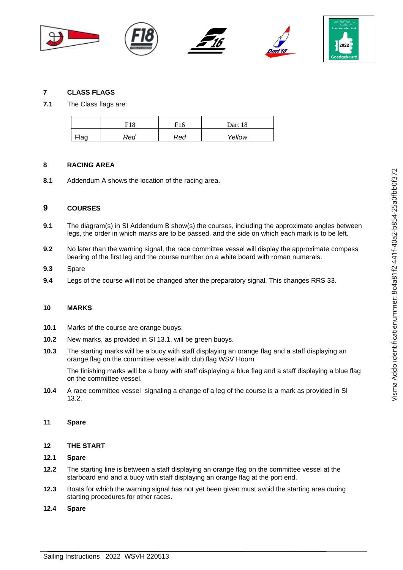

#### **7 CLASS FLAGS**

**7.1** The Class flags are:

|      | F18 | F16 | Dart 18 |
|------|-----|-----|---------|
| Flag | Red | Red | Yellow  |

#### **8 RACING AREA**

**8.1** Addendum A shows the location of the racing area.

## **9 COURSES**

- **9.1** The diagram(s) in SI Addendum B show(s) the courses, including the approximate angles between legs, the order in which marks are to be passed, and the side on which each mark is to be left.
- **9.2** No later than the warning signal, the race committee vessel will display the approximate compass bearing of the first leg and the course number on a white board with roman numerals.
- **9.3** Spare
- **9.4** Legs of the course will not be changed after the preparatory signal. This changes RRS 33.

#### **10 MARKS**

- **10.1** Marks of the course are orange buoys.
- **10.2** New marks, as provided in SI 13.1, will be green buoys.
- **10.3** The starting marks will be a buoy with staff displaying an orange flag and a staff displaying an orange flag on the committee vessel with club flag WSV Hoorn

The finishing marks will be a buoy with staff displaying a blue flag and a staff displaying a blue flag on the committee vessel.

**10.4** A race committee vessel signaling a change of a leg of the course is a mark as provided in SI 13.2.

#### **11 Spare**

#### **12 THE START**

#### **12.1 Spare**

- **12.2** The starting line is between a staff displaying an orange flag on the committee vessel at the starboard end and a buoy with staff displaying an orange flag at the port end.
- **12.3** Boats for which the warning signal has not yet been given must avoid the starting area during starting procedures for other races.
- **12.4 Spare**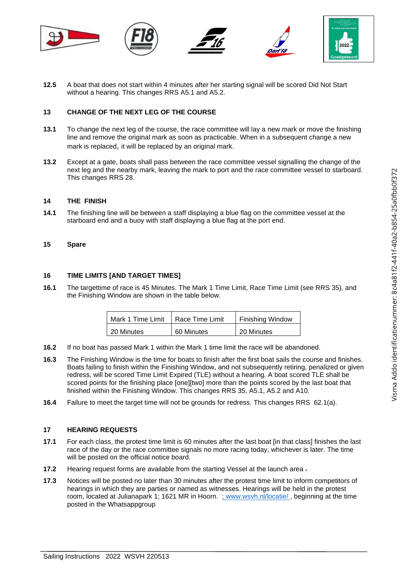

**12.5** A boat that does not start within 4 minutes after her starting signal will be scored Did Not Start without a hearing. This changes RRS A5.1 and A5.2.

## **13 CHANGE OF THE NEXT LEG OF THE COURSE**

- **13.1** To change the next leg of the course, the race committee will lay a new mark or move the finishing line and remove the original mark as soon as practicable. When in a subsequent change a new mark is replaced, it will be replaced by an original mark.
- **13.2** Except at a gate, boats shall pass between the race committee vessel signalling the change of the next leg and the nearby mark, leaving the mark to port and the race committee vessel to starboard. This changes RRS 28.

#### **14 THE FINISH**

**14.1** The finishing line will be between a staff displaying a blue flag on the committee vessel at the starboard end and a buoy with staff displaying a blue flag at the port end.

#### **15 Spare**

#### **16 TIME LIMITS [AND TARGET TIMES]**

**16.1** The targettime of race is 45 Minutes. The Mark 1 Time Limit, Race Time Limit (see RRS 35), and the Finishing Window are shown in the table below.

| Mark 1 Time Limit | Race Time Limit | Finishing Window |
|-------------------|-----------------|------------------|
| 20 Minutes        | 60 Minutes      | 20 Minutes       |

- **16.2** If no boat has passed Mark 1 within the Mark 1 time limit the race will be abandoned.
- **16.3** The Finishing Window is the time for boats to finish after the first boat sails the course and finishes. Boats failing to finish within the Finishing Window, and not subsequently retiring, penalized or given redress, will be scored Time Limit Expired (TLE) without a hearing. A boat scored TLE shall be scored points for the finishing place [one][two] more than the points scored by the last boat that finished within the Finishing Window. This changes RRS 35, A5.1, A5.2 and A10.
- **16.4** Failure to meet the target time will not be grounds for redress. This changes RRS 62.1(a).

#### **17 HEARING REQUESTS**

- **17.1** For each class, the protest time limit is 60 minutes after the last boat [in that class] finishes the last race of the day or the race committee signals no more racing today, whichever is later. The time will be posted on the official notice board.
- **17.2** Hearing request forms are available from the starting Vessel at the launch area .
- **17.3** Notices will be posted no later than 30 minutes after the protest time limit to inform competitors of hearings in which they are parties or named as witnesses. Hearings will be held in the protest room, located at Julianapark 1; 1621 MR in Hoorn. [; www.wsvh.nl/locatie/](http://www.wsvh.nl/locatie/) [,](http://www.wsvh.nl/locatie/) beginning at the time posted in the Whatsappgroup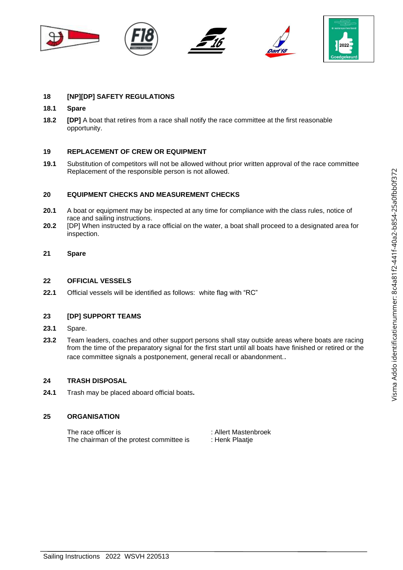



# **18 [NP][DP] SAFETY REGULATIONS**

#### **18.1 Spare**

**18.2 [DP]** A boat that retires from a race shall notify the race committee at the first reasonable opportunity.

#### **19 REPLACEMENT OF CREW OR EQUIPMENT**

**19.1** Substitution of competitors will not be allowed without prior written approval of the race committee Replacement of the responsible person is not allowed.

#### **20 EQUIPMENT CHECKS AND MEASUREMENT CHECKS**

- **20.1** A boat or equipment may be inspected at any time for compliance with the class rules, notice of race and sailing instructions.
- **20.2** [DP] When instructed by a race official on the water, a boat shall proceed to a designated area for inspection.

#### **21 Spare**

#### **22 OFFICIAL VESSELS**

**22.1** Official vessels will be identified as follows: white flag with "RC"

#### **23 [DP] SUPPORT TEAMS**

- **23.1** Spare.
- **23.2** Team leaders, coaches and other support persons shall stay outside areas where boats are racing from the time of the preparatory signal for the first start until all boats have finished or retired or the race committee signals a postponement, general recall or abandonment..

#### **24 TRASH DISPOSAL**

**24.1** Trash may be placed aboard official boats**.**

#### **25 ORGANISATION**

The race officer is the state of the race officer is the state of the state of the state of the state of the state of the state of the state of the state of the state of the state of the state of the state of the state of The chairman of the protest committee is : Henk Plaatje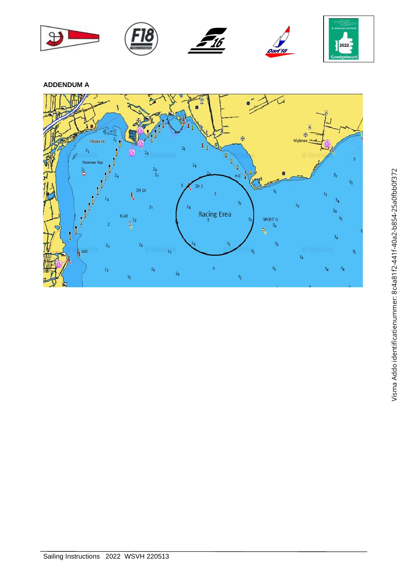

**ADDENDUM A**

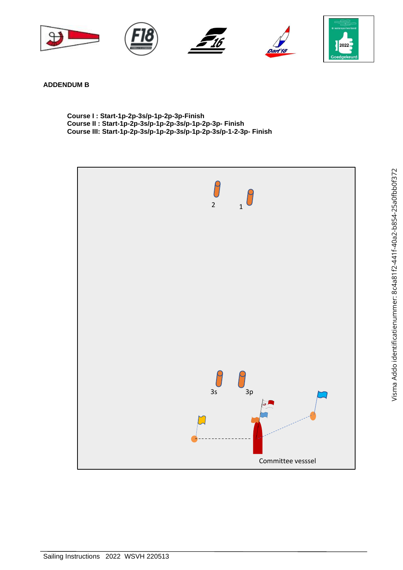

**ADDENDUM B**

**Course I : Start-1p-2p-3s/p-1p-2p-3p-Finish Course II : Start-1p-2p-3s/p-1p-2p-3s/p-1p-2p-3p- Finish Course III: Start-1p-2p-3s/p-1p-2p-3s/p-1p-2p-3s/p-1-2-3p- Finish**

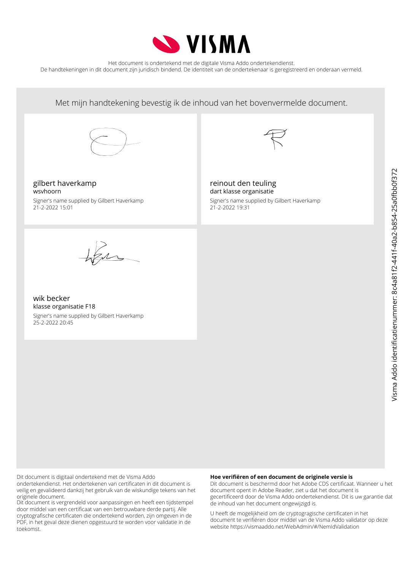

Het document is ondertekend met de digitale Visma Addo ondertekendienst. De handtekeningen in dit document zijn juridisch bindend. De identiteit van de ondertekenaar is geregistreerd en onderaan vermeld.

Met mijn handtekening bevestig ik de inhoud van het bovenvermelde document. gilbert haverkamp wsvhoorn Signer's name supplied by Gilbert Haverkamp 21-2-2022 15:01 reinout den teuling dart klasse organisatie Signer's name supplied by Gilbert Haverkamp 21-2-2022 19:31

wik becker klasse organisatie F18 Signer's name supplied by Gilbert Haverkamp

25-2-2022 20:45

Dit document is digitaal ondertekend met de Visma Addo ondertekendienst. Het ondertekenen van certificaten in dit document is veilig en gevalideerd dankzij het gebruik van de wiskundige tekens van het originele document.

Dit document is vergrendeld voor aanpassingen en heeft een tijdstempel door middel van een certificaat van een betrouwbare derde partij. Alle cryptografische certificaten die ondertekend worden, zijn omgeven in de PDF, in het geval deze dienen opgestuurd te worden voor validatie in de toekomst.

#### **Hoe verifiëren of een document de originele versie is**

Dit document is beschermd door het Adobe CDS certificaat. Wanneer u het document opent in Adobe Reader, ziet u dat het document is gecertificeerd door de Visma Addo ondertekendienst. Dit is uw garantie dat de inhoud van het document ongewijzigd is.

U heeft de mogelijkheid om de cryptogragische certificaten in het document te verifiëren door middel van de Visma Addo validator op deze website https://vismaaddo.net/WebAdmin/#/NemIdValidation